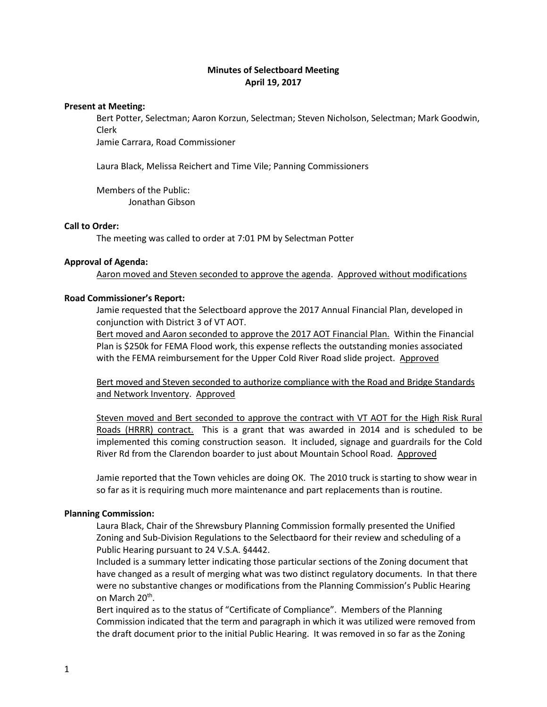# **Minutes of Selectboard Meeting April 19, 2017**

#### **Present at Meeting:**

Bert Potter, Selectman; Aaron Korzun, Selectman; Steven Nicholson, Selectman; Mark Goodwin, Clerk

Jamie Carrara, Road Commissioner

Laura Black, Melissa Reichert and Time Vile; Panning Commissioners

Members of the Public: Jonathan Gibson

### **Call to Order:**

The meeting was called to order at 7:01 PM by Selectman Potter

#### **Approval of Agenda:**

Aaron moved and Steven seconded to approve the agenda. Approved without modifications

#### **Road Commissioner's Report:**

Jamie requested that the Selectboard approve the 2017 Annual Financial Plan, developed in conjunction with District 3 of VT AOT.

Bert moved and Aaron seconded to approve the 2017 AOT Financial Plan. Within the Financial Plan is \$250k for FEMA Flood work, this expense reflects the outstanding monies associated with the FEMA reimbursement for the Upper Cold River Road slide project. Approved

Bert moved and Steven seconded to authorize compliance with the Road and Bridge Standards and Network Inventory. Approved

Steven moved and Bert seconded to approve the contract with VT AOT for the High Risk Rural Roads (HRRR) contract. This is a grant that was awarded in 2014 and is scheduled to be implemented this coming construction season. It included, signage and guardrails for the Cold River Rd from the Clarendon boarder to just about Mountain School Road. Approved

Jamie reported that the Town vehicles are doing OK. The 2010 truck is starting to show wear in so far as it is requiring much more maintenance and part replacements than is routine.

#### **Planning Commission:**

Laura Black, Chair of the Shrewsbury Planning Commission formally presented the Unified Zoning and Sub-Division Regulations to the Selectbaord for their review and scheduling of a Public Hearing pursuant to 24 V.S.A. §4442.

Included is a summary letter indicating those particular sections of the Zoning document that have changed as a result of merging what was two distinct regulatory documents. In that there were no substantive changes or modifications from the Planning Commission's Public Hearing on March 20<sup>th</sup>.

Bert inquired as to the status of "Certificate of Compliance". Members of the Planning Commission indicated that the term and paragraph in which it was utilized were removed from the draft document prior to the initial Public Hearing. It was removed in so far as the Zoning